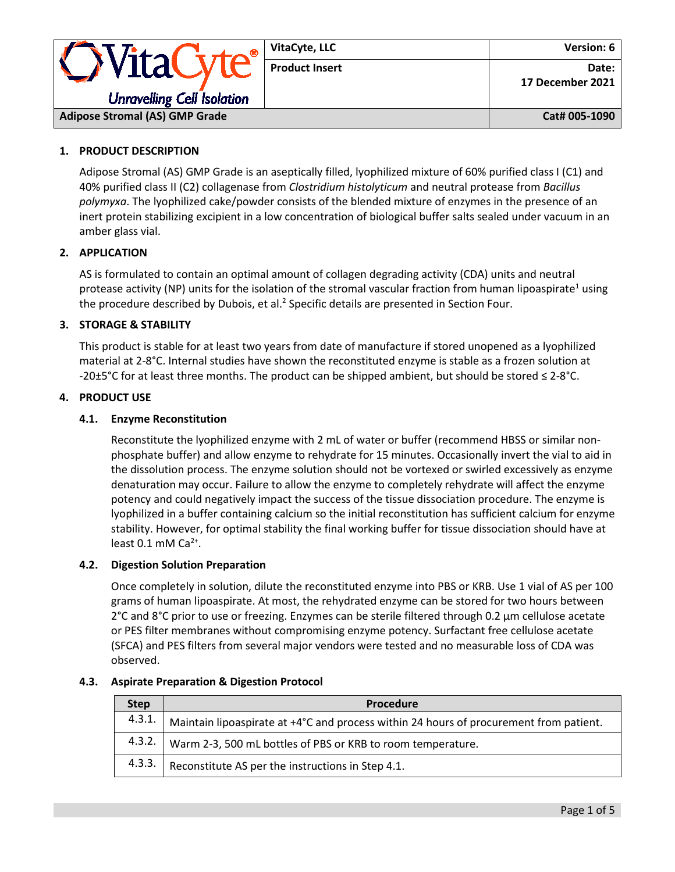

## **1. PRODUCT DESCRIPTION**

Adipose Stromal (AS) GMP Grade is an aseptically filled, lyophilized mixture of 60% purified class I (C1) and 40% purified class II (C2) collagenase from *Clostridium histolyticum* and neutral protease from *Bacillus polymyxa*. The lyophilized cake/powder consists of the blended mixture of enzymes in the presence of an inert protein stabilizing excipient in a low concentration of biological buffer salts sealed under vacuum in an amber glass vial.

## **2. APPLICATION**

AS is formulated to contain an optimal amount of collagen degrading activity (CDA) units and neutral protease activity (NP) units for the isolation of the stromal vascular fraction from human lipoaspirate<sup>1</sup> using the procedure described by Dubois, et al.<sup>2</sup> Specific details are presented in Section Four.

## **3. STORAGE & STABILITY**

This product is stable for at least two years from date of manufacture if stored unopened as a lyophilized material at 2-8°C. Internal studies have shown the reconstituted enzyme is stable as a frozen solution at -20±5°C for at least three months. The product can be shipped ambient, but should be stored ≤ 2-8°C.

## **4. PRODUCT USE**

## **4.1. Enzyme Reconstitution**

Reconstitute the lyophilized enzyme with 2 mL of water or buffer (recommend HBSS or similar nonphosphate buffer) and allow enzyme to rehydrate for 15 minutes. Occasionally invert the vial to aid in the dissolution process. The enzyme solution should not be vortexed or swirled excessively as enzyme denaturation may occur. Failure to allow the enzyme to completely rehydrate will affect the enzyme potency and could negatively impact the success of the tissue dissociation procedure. The enzyme is lyophilized in a buffer containing calcium so the initial reconstitution has sufficient calcium for enzyme stability. However, for optimal stability the final working buffer for tissue dissociation should have at least  $0.1$  mM Ca<sup>2+</sup>.

#### **4.2. Digestion Solution Preparation**

Once completely in solution, dilute the reconstituted enzyme into PBS or KRB. Use 1 vial of AS per 100 grams of human lipoaspirate. At most, the rehydrated enzyme can be stored for two hours between 2°C and 8°C prior to use or freezing. Enzymes can be sterile filtered through 0.2 μm cellulose acetate or PES filter membranes without compromising enzyme potency. Surfactant free cellulose acetate (SFCA) and PES filters from several major vendors were tested and no measurable loss of CDA was observed.

| <b>Step</b> | <b>Procedure</b>                                                                       |
|-------------|----------------------------------------------------------------------------------------|
| 4.3.1.      | Maintain lipoaspirate at +4°C and process within 24 hours of procurement from patient. |
|             | 4.3.2.   Warm 2-3, 500 mL bottles of PBS or KRB to room temperature.                   |
| 4.3.3.      | Reconstitute AS per the instructions in Step 4.1.                                      |

#### **4.3. Aspirate Preparation & Digestion Protocol**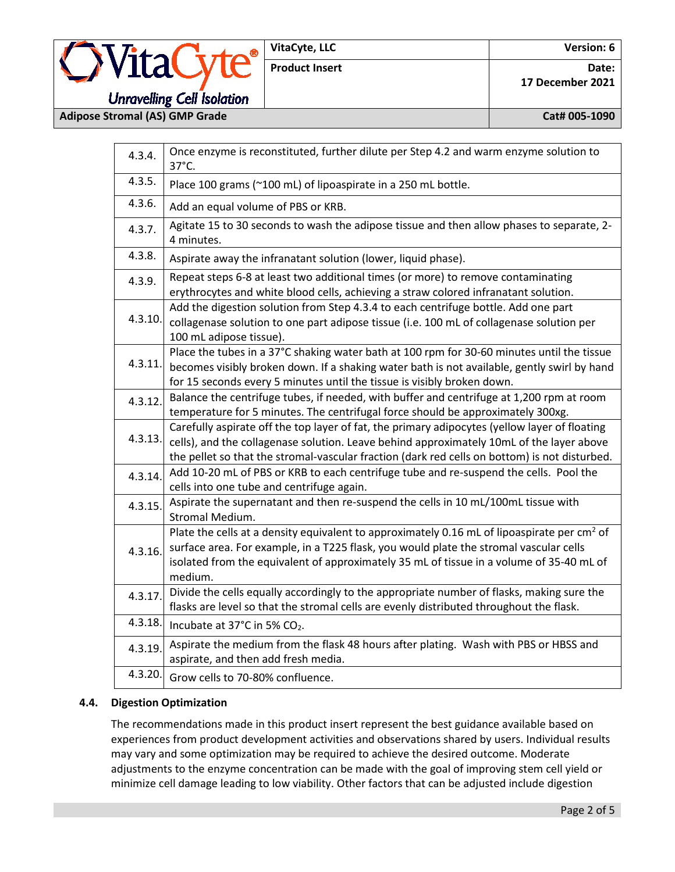**Adipose Stromal (AS) GMP Grade Cat# 005-1090**

| 4.3.4.  | Once enzyme is reconstituted, further dilute per Step 4.2 and warm enzyme solution to<br>37°C.                                                                                                                                                                                                 |  |  |  |
|---------|------------------------------------------------------------------------------------------------------------------------------------------------------------------------------------------------------------------------------------------------------------------------------------------------|--|--|--|
| 4.3.5.  | Place 100 grams (~100 mL) of lipoaspirate in a 250 mL bottle.                                                                                                                                                                                                                                  |  |  |  |
| 4.3.6.  | Add an equal volume of PBS or KRB.                                                                                                                                                                                                                                                             |  |  |  |
| 4.3.7.  | Agitate 15 to 30 seconds to wash the adipose tissue and then allow phases to separate, 2-<br>4 minutes.                                                                                                                                                                                        |  |  |  |
| 4.3.8.  | Aspirate away the infranatant solution (lower, liquid phase).                                                                                                                                                                                                                                  |  |  |  |
| 4.3.9.  | Repeat steps 6-8 at least two additional times (or more) to remove contaminating<br>erythrocytes and white blood cells, achieving a straw colored infranatant solution.                                                                                                                        |  |  |  |
| 4.3.10. | Add the digestion solution from Step 4.3.4 to each centrifuge bottle. Add one part<br>collagenase solution to one part adipose tissue (i.e. 100 mL of collagenase solution per<br>100 mL adipose tissue).                                                                                      |  |  |  |
| 4.3.11. | Place the tubes in a 37°C shaking water bath at 100 rpm for 30-60 minutes until the tissue<br>becomes visibly broken down. If a shaking water bath is not available, gently swirl by hand<br>for 15 seconds every 5 minutes until the tissue is visibly broken down.                           |  |  |  |
| 4.3.12. | Balance the centrifuge tubes, if needed, with buffer and centrifuge at 1,200 rpm at room<br>temperature for 5 minutes. The centrifugal force should be approximately 300xg.                                                                                                                    |  |  |  |
| 4.3.13. | Carefully aspirate off the top layer of fat, the primary adipocytes (yellow layer of floating<br>cells), and the collagenase solution. Leave behind approximately 10mL of the layer above<br>the pellet so that the stromal-vascular fraction (dark red cells on bottom) is not disturbed.     |  |  |  |
| 4.3.14. | Add 10-20 mL of PBS or KRB to each centrifuge tube and re-suspend the cells. Pool the<br>cells into one tube and centrifuge again.                                                                                                                                                             |  |  |  |
| 4.3.15. | Aspirate the supernatant and then re-suspend the cells in 10 mL/100mL tissue with<br>Stromal Medium.                                                                                                                                                                                           |  |  |  |
| 4.3.16. | Plate the cells at a density equivalent to approximately 0.16 mL of lipoaspirate per $cm2$ of<br>surface area. For example, in a T225 flask, you would plate the stromal vascular cells<br>isolated from the equivalent of approximately 35 mL of tissue in a volume of 35-40 mL of<br>medium. |  |  |  |
| 4.3.17. | Divide the cells equally accordingly to the appropriate number of flasks, making sure the<br>flasks are level so that the stromal cells are evenly distributed throughout the flask.                                                                                                           |  |  |  |
| 4.3.18. | Incubate at 37°C in 5% CO2.                                                                                                                                                                                                                                                                    |  |  |  |
| 4.3.19. | Aspirate the medium from the flask 48 hours after plating. Wash with PBS or HBSS and<br>aspirate, and then add fresh media.                                                                                                                                                                    |  |  |  |
| 4.3.20. | Grow cells to 70-80% confluence.                                                                                                                                                                                                                                                               |  |  |  |

## **4.4. Digestion Optimization**

The recommendations made in this product insert represent the best guidance available based on experiences from product development activities and observations shared by users. Individual results may vary and some optimization may be required to achieve the desired outcome. Moderate adjustments to the enzyme concentration can be made with the goal of improving stem cell yield or minimize cell damage leading to low viability. Other factors that can be adjusted include digestion

**Product Insert Date: Date: Date: Date: 17 December 2021**

# **Unravelling Cell Isolation**

**VitaCyte®**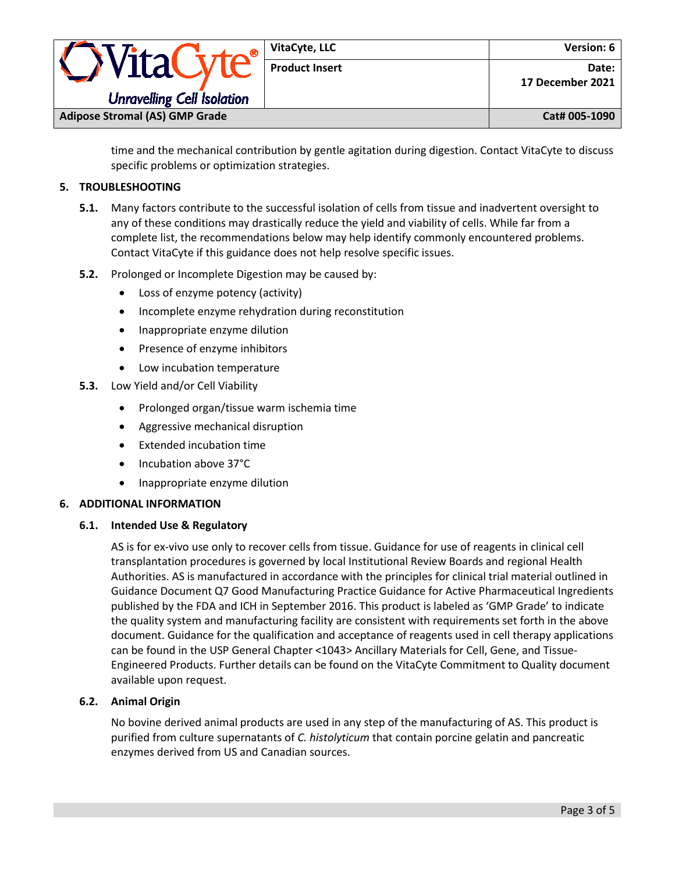|                                       |  | VitaCyte, LLC         | Version: 6                |
|---------------------------------------|--|-----------------------|---------------------------|
|                                       |  | <b>Product Insert</b> | Date:<br>17 December 2021 |
| <b>Unravelling Cell Isolation</b>     |  |                       |                           |
| <b>Adipose Stromal (AS) GMP Grade</b> |  |                       | Cat# 005-1090             |

time and the mechanical contribution by gentle agitation during digestion. Contact VitaCyte to discuss specific problems or optimization strategies.

## **5. TROUBLESHOOTING**

- **5.1.** Many factors contribute to the successful isolation of cells from tissue and inadvertent oversight to any of these conditions may drastically reduce the yield and viability of cells. While far from a complete list, the recommendations below may help identify commonly encountered problems. Contact VitaCyte if this guidance does not help resolve specific issues.
- **5.2.** Prolonged or Incomplete Digestion may be caused by:
	- Loss of enzyme potency (activity)
	- Incomplete enzyme rehydration during reconstitution
	- Inappropriate enzyme dilution
	- Presence of enzyme inhibitors
	- Low incubation temperature
- **5.3.** Low Yield and/or Cell Viability
	- Prolonged organ/tissue warm ischemia time
	- Aggressive mechanical disruption
	- Extended incubation time
	- Incubation above 37°C
	- Inappropriate enzyme dilution

## **6. ADDITIONAL INFORMATION**

#### **6.1. Intended Use & Regulatory**

AS is for ex-vivo use only to recover cells from tissue. Guidance for use of reagents in clinical cell transplantation procedures is governed by local Institutional Review Boards and regional Health Authorities. AS is manufactured in accordance with the principles for clinical trial material outlined in Guidance Document Q7 Good Manufacturing Practice Guidance for Active Pharmaceutical Ingredients published by the FDA and ICH in September 2016. This product is labeled as 'GMP Grade' to indicate the quality system and manufacturing facility are consistent with requirements set forth in the above document. Guidance for the qualification and acceptance of reagents used in cell therapy applications can be found in the USP General Chapter <1043> Ancillary Materials for Cell, Gene, and Tissue-Engineered Products. Further details can be found on the VitaCyte Commitment to Quality document available upon request.

## **6.2. Animal Origin**

No bovine derived animal products are used in any step of the manufacturing of AS. This product is purified from culture supernatants of *C. histolyticum* that contain porcine gelatin and pancreatic enzymes derived from US and Canadian sources.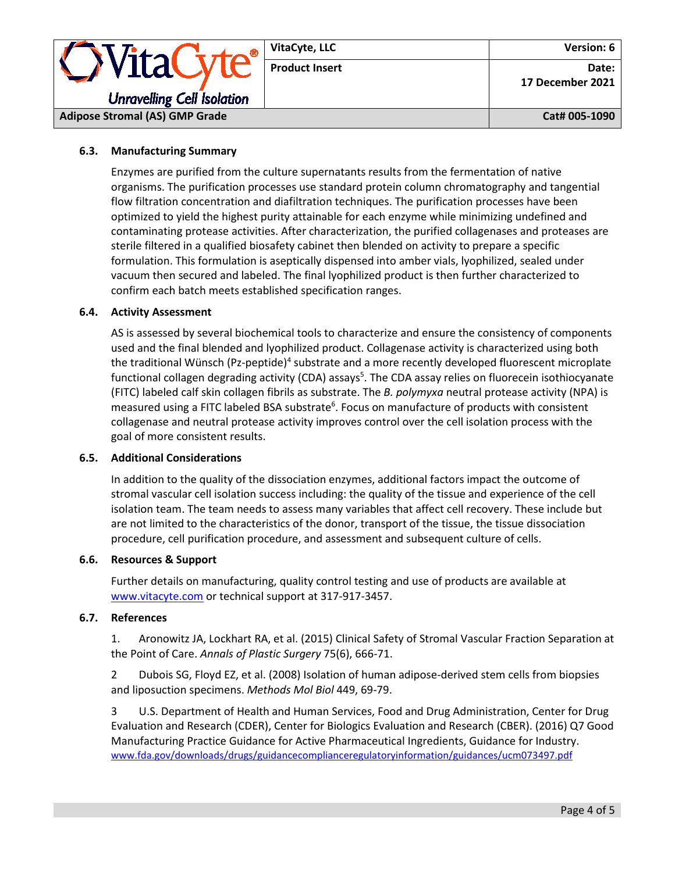|                                                               | VitaCyte, LLC         | Version: 6                |
|---------------------------------------------------------------|-----------------------|---------------------------|
| <i><b>OVitaCyte®</b></i><br><b>Unravelling Cell Isolation</b> | <b>Product Insert</b> | Date:<br>17 December 2021 |
| <b>Adipose Stromal (AS) GMP Grade</b>                         | Cat# 005-1090         |                           |

## **6.3. Manufacturing Summary**

Enzymes are purified from the culture supernatants results from the fermentation of native organisms. The purification processes use standard protein column chromatography and tangential flow filtration concentration and diafiltration techniques. The purification processes have been optimized to yield the highest purity attainable for each enzyme while minimizing undefined and contaminating protease activities. After characterization, the purified collagenases and proteases are sterile filtered in a qualified biosafety cabinet then blended on activity to prepare a specific formulation. This formulation is aseptically dispensed into amber vials, lyophilized, sealed under vacuum then secured and labeled. The final lyophilized product is then further characterized to confirm each batch meets established specification ranges.

## **6.4. Activity Assessment**

AS is assessed by several biochemical tools to characterize and ensure the consistency of components used and the final blended and lyophilized product. Collagenase activity is characterized using both the traditional Wünsch (Pz-peptide)<sup>4</sup> substrate and a more recently developed fluorescent microplate functional collagen degrading activity (CDA) assays<sup>5</sup>. The CDA assay relies on fluorecein isothiocyanate (FITC) labeled calf skin collagen fibrils as substrate. The *B. polymyxa* neutral protease activity (NPA) is measured using a FITC labeled BSA substrate<sup>6</sup>. Focus on manufacture of products with consistent collagenase and neutral protease activity improves control over the cell isolation process with the goal of more consistent results.

#### **6.5. Additional Considerations**

In addition to the quality of the dissociation enzymes, additional factors impact the outcome of stromal vascular cell isolation success including: the quality of the tissue and experience of the cell isolation team. The team needs to assess many variables that affect cell recovery. These include but are not limited to the characteristics of the donor, transport of the tissue, the tissue dissociation procedure, cell purification procedure, and assessment and subsequent culture of cells.

#### **6.6. Resources & Support**

Further details on manufacturing, quality control testing and use of products are available at [www.vitacyte.com](http://www.vitacyte.com/) or technical support at 317-917-3457.

#### **6.7. References**

1. Aronowitz JA, Lockhart RA, et al. (2015) Clinical Safety of Stromal Vascular Fraction Separation at the Point of Care. *Annals of Plastic Surgery* 75(6), 666-71.

2 Dubois SG, Floyd EZ, et al. (2008) Isolation of human adipose-derived stem cells from biopsies and liposuction specimens. *Methods Mol Biol* 449, 69-79.

3 U.S. Department of Health and Human Services, Food and Drug Administration, Center for Drug Evaluation and Research (CDER), Center for Biologics Evaluation and Research (CBER). (2016) Q7 Good Manufacturing Practice Guidance for Active Pharmaceutical Ingredients, Guidance for Industry. [www.fda.gov/downloads/drugs/guidancecomplianceregulatoryinformation/guidances/ucm073497.pdf](http://www.fda.gov/downloads/drugs/guidancecomplianceregulatoryinformation/guidances/ucm073497.pdf)